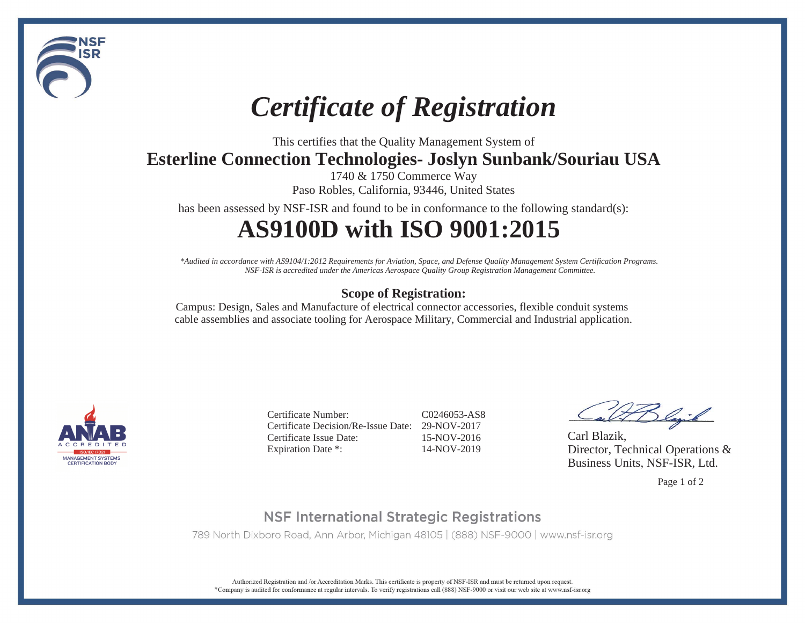

# *Certificate of Registration*

This certifies that the Quality Management System of

**Esterline Connection Technologies- Joslyn Sunbank/Souriau USA**

1740 & 1750 Commerce Way Paso Robles, California, 93446, United States

has been assessed by NSF-ISR and found to be in conformance to the following standard(s):

## **AS9100D with ISO 9001:2015**

*\*Audited in accordance with AS9104/1:2012 Requirements for Aviation, Space, and Defense Quality Management System Certification Programs. NSF-ISR is accredited under the Americas Aerospace Quality Group Registration Management Committee.*

### **Scope of Registration:**

Campus: Design, Sales and Manufacture of electrical connector accessories, flexible conduit systems cable assemblies and associate tooling for Aerospace Military, Commercial and Industrial application.



Certificate Number: C0246053-AS8Certificate Decision/Re-Issue Date: 29-NOV-2017Certificate Issue Date: 15-NOV-2016Expiration Date \*: 14-NOV-2019

Slajik

Carl Blazik, Director, Technical Operations & Business Units, NSF-ISR, Ltd.

Page 1 of 2

## **NSF International Strategic Registrations**

789 North Dixboro Road, Ann Arbor, Michigan 48105 | (888) NSF-9000 | www.nsf-isr.org

Authorized Registration and /or Accreditation Marks. This certificate is property of NSF-ISR and must be returned upon request. \*Company is audited for conformance at regular intervals. To verify registrations call (888) NSF-9000 or visit our web site at www.nsf-isr.org